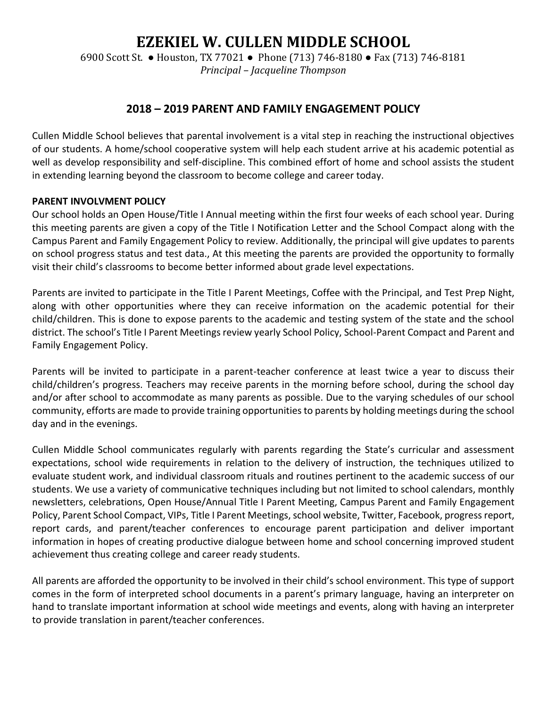## **EZEKIEL W. CULLEN MIDDLE SCHOOL**

6900 Scott St. ● Houston, TX 77021 ● Phone (713) 746-8180 ● Fax (713) 746-8181

## *Principal – Jacqueline Thompson*

### **2018 – 2019 PARENT AND FAMILY ENGAGEMENT POLICY**

Cullen Middle School believes that parental involvement is a vital step in reaching the instructional objectives of our students. A home/school cooperative system will help each student arrive at his academic potential as well as develop responsibility and self-discipline. This combined effort of home and school assists the student in extending learning beyond the classroom to become college and career today.

#### **PARENT INVOLVMENT POLICY**

Our school holds an Open House/Title I Annual meeting within the first four weeks of each school year. During this meeting parents are given a copy of the Title I Notification Letter and the School Compact along with the Campus Parent and Family Engagement Policy to review. Additionally, the principal will give updates to parents on school progress status and test data., At this meeting the parents are provided the opportunity to formally visit their child's classrooms to become better informed about grade level expectations.

Parents are invited to participate in the Title I Parent Meetings, Coffee with the Principal, and Test Prep Night, along with other opportunities where they can receive information on the academic potential for their child/children. This is done to expose parents to the academic and testing system of the state and the school district. The school's Title I Parent Meetings review yearly School Policy, School-Parent Compact and Parent and Family Engagement Policy.

Parents will be invited to participate in a parent-teacher conference at least twice a year to discuss their child/children's progress. Teachers may receive parents in the morning before school, during the school day and/or after school to accommodate as many parents as possible. Due to the varying schedules of our school community, efforts are made to provide training opportunities to parents by holding meetings during the school day and in the evenings.

Cullen Middle School communicates regularly with parents regarding the State's curricular and assessment expectations, school wide requirements in relation to the delivery of instruction, the techniques utilized to evaluate student work, and individual classroom rituals and routines pertinent to the academic success of our students. We use a variety of communicative techniques including but not limited to school calendars, monthly newsletters, celebrations, Open House/Annual Title I Parent Meeting, Campus Parent and Family Engagement Policy, Parent School Compact, VIPs, Title I Parent Meetings, school website, Twitter, Facebook, progress report, report cards, and parent/teacher conferences to encourage parent participation and deliver important information in hopes of creating productive dialogue between home and school concerning improved student achievement thus creating college and career ready students.

All parents are afforded the opportunity to be involved in their child's school environment. This type of support comes in the form of interpreted school documents in a parent's primary language, having an interpreter on hand to translate important information at school wide meetings and events, along with having an interpreter to provide translation in parent/teacher conferences.